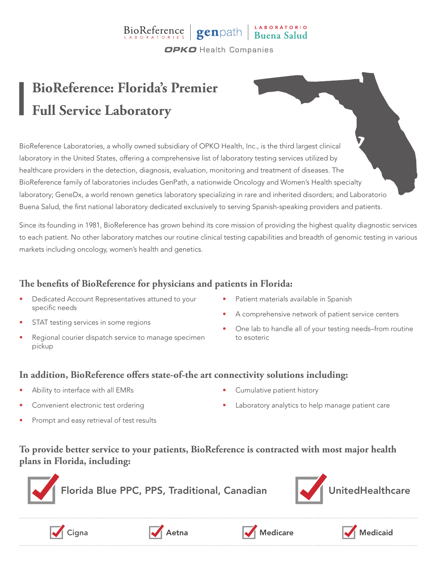### BioReference genpath Buena Salud **OPKO** Health Companies

# **BioReference: Florida's Premier Full Service Laboratory**

BioReference Laboratories, a wholly owned subsidiary of OPKO Health, Inc., is the third largest clinical laboratory in the United States, offering a comprehensive list of laboratory testing services utilized by healthcare providers in the detection, diagnosis, evaluation, monitoring and treatment of diseases. The BioReference family of laboratories includes GenPath, a nationwide Oncology and Women's Health specialty laboratory; GeneDx, a world renown genetics laboratory specializing in rare and inherited disorders; and Laboratorio Buena Salud, the first national laboratory dedicated exclusively to serving Spanish-speaking providers and patients.

Since its founding in 1981, BioReference has grown behind its core mission of providing the highest quality diagnostic services to each patient. No other laboratory matches our routine clinical testing capabilities and breadth of genomic testing in various markets including oncology, women's health and genetics.

### **The benefits of BioReference for physicians and patients in Florida:**

- Dedicated Account Representatives attuned to your specific needs
- STAT testing services in some regions
- Regional courier dispatch service to manage specimen pickup
- Patient materials available in Spanish
- A comprehensive network of patient service centers
- One lab to handle all of your testing needs–from routine to esoteric

#### **In addition, BioReference offers state-of-the art connectivity solutions including:**

- Ability to interface with all EMRs
- Convenient electronic test ordering
- Prompt and easy retrieval of test results
- Cumulative patient history
- Laboratory analytics to help manage patient care

#### **To provide better service to your patients, BioReference is contracted with most major health plans in Florida, including:**